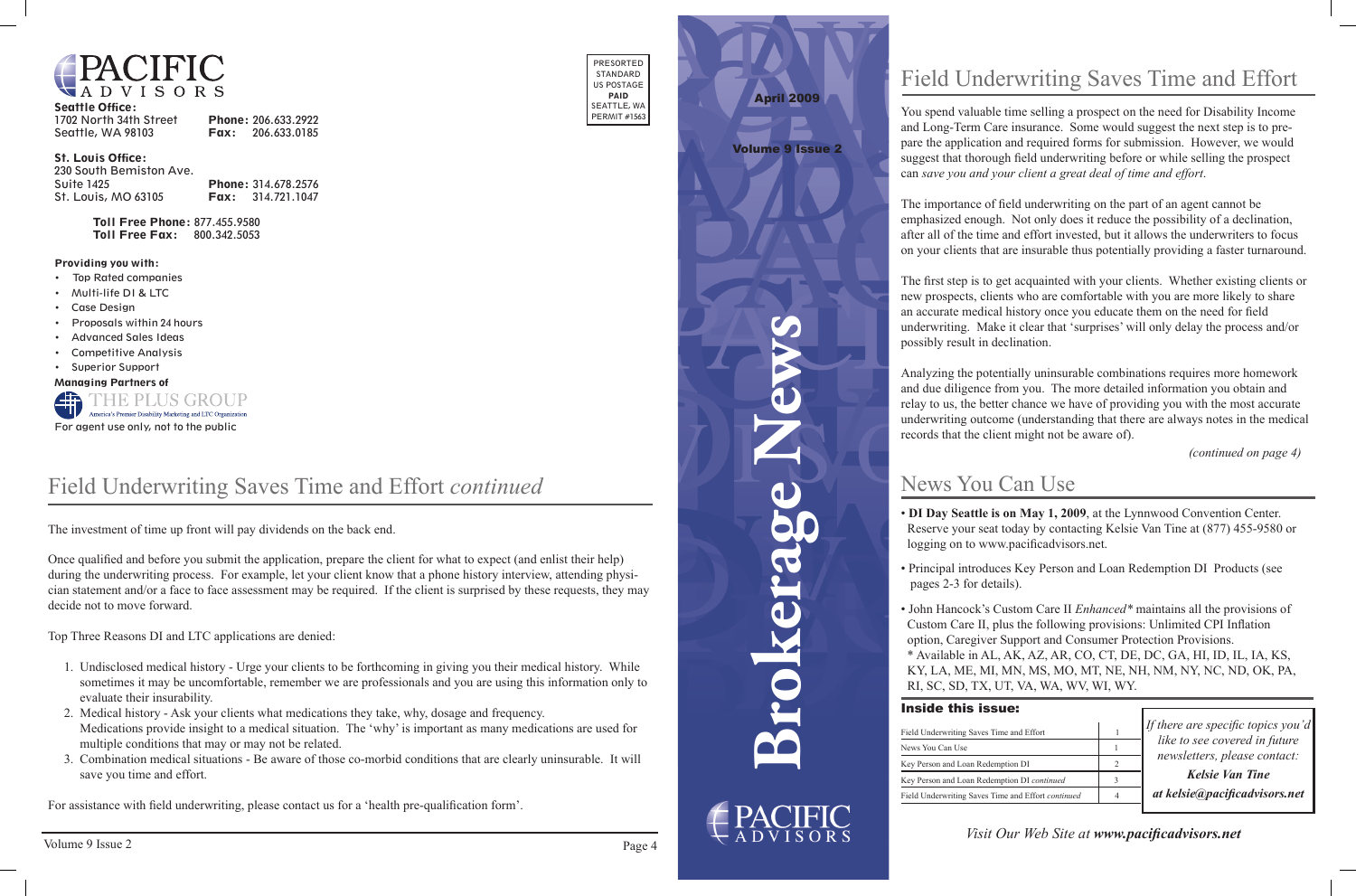

| <b>Seattle Office:</b> |                          |
|------------------------|--------------------------|
| 1702 North 34th Street | Phone: 206.633.2922      |
| Seattle, WA 98103      | <b>Fax:</b> 206.633.0185 |

#### St. Louis Office:

| 230 South Bemiston Ave. |                            |
|-------------------------|----------------------------|
| Suite 1425              | <b>Phone: 314.678.2576</b> |
| St. Louis, MO 63105     | <b>Fax:</b> $314.721.1047$ |

Toll Free Phone: 877.455.9580 Toll Free Fax: 800.342.5053

| PRESORTED    |
|--------------|
| STANDARD     |
| US POSTAGE   |
| PAID         |
| SEATTLE, WA  |
| PERMIT #1563 |
|              |

#### Providing you with:

- • Top Rated companies
- • Multi-life DI & LTC
- • Case Design
- Proposals within 24 hours
- **Advanced Sales Ideas**
- • Competitive Analysis
- • Superior Support

Managing Partners of



**Brokerage News**



## News You Can Use

*If there are specific topics you'd like to see covered in future newsletters, please contact:*

*Kelsie Van Tine at kelsie@pacificadvisors.net*

### Inside this issue:

Field Underwriting News You Can U Key Person and I Key Person and <sup>1</sup> Field Underwriting

*Visit Our Web Site at www.pacificadvisors.net*



#### Volume 9 Issue 2

# Field Underwriting Saves Time and Effort

You spend valuable time selling a prospect on the need for Disability Income and Long-Term Care insurance. Some would suggest the next step is to prepare the application and required forms for submission. However, we would suggest that thorough field underwriting before or while selling the prospect can *save you and your client a great deal of time and effort*.

The importance of field underwriting on the part of an agent cannot be emphasized enough. Not only does it reduce the possibility of a declination, after all of the time and effort invested, but it allows the underwriters to focus on your clients that are insurable thus potentially providing a faster turnaround.

The first step is to get acquainted with your clients. Whether existing clients or new prospects, clients who are comfortable with you are more likely to share an accurate medical history once you educate them on the need for field underwriting. Make it clear that 'surprises' will only delay the process and/or possibly result in declination.

Analyzing the potentially uninsurable combinations requires more homework and due diligence from you. The more detailed information you obtain and relay to us, the better chance we have of providing you with the most accurate underwriting outcome (understanding that there are always notes in the medical records that the client might not be aware of).

- 
- 
- 

• **DI Day Seattle is on May 1, 2009**, at the Lynnwood Convention Center. Reserve your seat today by contacting Kelsie Van Tine at (877) 455-9580 or logging on to www.pacificadvisors.net.

*(continued on page 4)*

• Principal introduces Key Person and Loan Redemption DI Products (see pages 2-3 for details).

• John Hancock's Custom Care II *Enhanced\** maintains all the provisions of Custom Care II, plus the following provisions: Unlimited CPI Inflation option, Caregiver Support and Consumer Protection Provisions. \* Available in AL, AK, AZ, AR, CO, CT, DE, DC, GA, HI, ID, IL, IA, KS, KY, LA, ME, MI, MN, MS, MO, MT, NE, NH, NM, NY, NC, ND, OK, PA, RI, SC, SD, TX, UT, VA, WA, WV, WI, WY.

| ng Saves Time and Effort                  |  |
|-------------------------------------------|--|
| <sup>se</sup>                             |  |
| Loan Redemption DI                        |  |
| Loan Redemption DI continued              |  |
| ng Saves Time and Effort <i>continued</i> |  |

The investment of time up front will pay dividends on the back end.

Once qualified and before you submit the application, prepare the client for what to expect (and enlist their help) during the underwriting process. For example, let your client know that a phone history interview, attending physician statement and/or a face to face assessment may be required. If the client is surprised by these requests, they may decide not to move forward.

Top Three Reasons DI and LTC applications are denied:

- 1. Undisclosed medical history Urge your clients to be forthcoming in giving you their medical history. While sometimes it may be uncomfortable, remember we are professionals and you are using this information only to evaluate their insurability.
- 2. Medical history Ask your clients what medications they take, why, dosage and frequency. Medications provide insight to a medical situation. The 'why' is important as many medications are used for multiple conditions that may or may not be related.
- 3. Combination medical situations Be aware of those co-morbid conditions that are clearly uninsurable. It will save you time and effort.

For assistance with field underwriting, please contact us for a 'health pre-qualification form'.

## Field Underwriting Saves Time and Effort *continued*